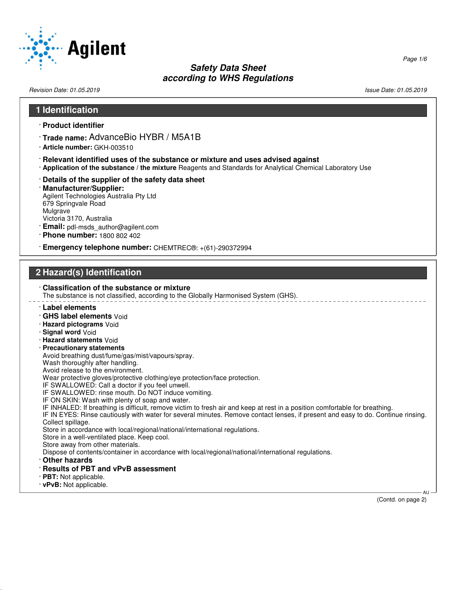

Revision Date: 01.05.2019 **Issue Date: 01.05.2019** Issue Date: 01.05.2019

# **1 Identification**

- · **Product identifier**
- · **Trade name:** AdvanceBio HYBR / M5A1B
- · **Article number:** GKH-003510
- · **Relevant identified uses of the substance or mixture and uses advised against**
- · **Application of the substance / the mixture** Reagents and Standards for Analytical Chemical Laboratory Use
- · **Details of the supplier of the safety data sheet**

#### · **Manufacturer/Supplier:** Agilent Technologies Australia Pty Ltd 679 Springvale Road Mulgrave Victoria 3170, Australia

- · **Email:** pdl-msds\_author@agilent.com
- · **Phone number:** 1800 802 402

· **Emergency telephone number:** CHEMTREC®: +(61)-290372994

# **2 Hazard(s) Identification**

#### · **Classification of the substance or mixture** The substance is not classified, according to the Globally Harmonised System (GHS). · **Label elements** · **GHS label elements** Void · **Hazard pictograms** Void · **Signal word** Void · **Hazard statements** Void · **Precautionary statements** Avoid breathing dust/fume/gas/mist/vapours/spray. Wash thoroughly after handling. Avoid release to the environment. Wear protective gloves/protective clothing/eye protection/face protection. IF SWALLOWED: Call a doctor if you feel unwell. IF SWALLOWED: rinse mouth. Do NOT induce vomiting. IF ON SKIN: Wash with plenty of soap and water. IF INHALED: If breathing is difficult, remove victim to fresh air and keep at rest in a position comfortable for breathing. IF IN EYES: Rinse cautiously with water for several minutes. Remove contact lenses, if present and easy to do. Continue rinsing. Collect spillage. Store in accordance with local/regional/national/international regulations. Store in a well-ventilated place. Keep cool. Store away from other materials. Dispose of contents/container in accordance with local/regional/national/international regulations. · **Other hazards** · **Results of PBT and vPvB assessment** · **PBT:** Not applicable. · **vPvB:** Not applicable. AU

(Contd. on page 2)

Page 1/6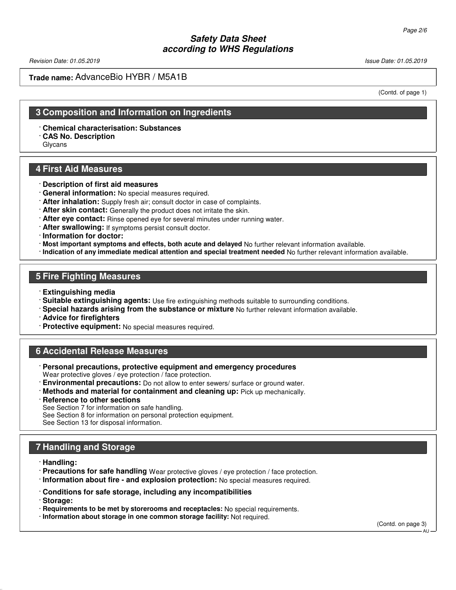Revision Date: 01.05.2019 **Issue Date: 01.05.2019** Issue Date: 01.05.2019

### **Trade name:** AdvanceBio HYBR / M5A1B

(Contd. of page 1)

### **3 Composition and Information on Ingredients**

· **Chemical characterisation: Substances**

· **CAS No. Description**

Glycans

### **4 First Aid Measures**

- · **Description of first aid measures**
- · **General information:** No special measures required.
- · **After inhalation:** Supply fresh air; consult doctor in case of complaints.
- · **After skin contact:** Generally the product does not irritate the skin.
- · **After eye contact:** Rinse opened eye for several minutes under running water.
- · **After swallowing:** If symptoms persist consult doctor.
- · **Information for doctor:**
- · **Most important symptoms and effects, both acute and delayed** No further relevant information available.
- · **Indication of any immediate medical attention and special treatment needed** No further relevant information available.

# **5 Fire Fighting Measures**

- · **Extinguishing media**
- · **Suitable extinguishing agents:** Use fire extinguishing methods suitable to surrounding conditions.
- · **Special hazards arising from the substance or mixture** No further relevant information available.
- · **Advice for firefighters**
- · **Protective equipment:** No special measures required.

### **6 Accidental Release Measures**

- · **Personal precautions, protective equipment and emergency procedures** Wear protective gloves / eye protection / face protection.
- · **Environmental precautions:** Do not allow to enter sewers/ surface or ground water.
- · **Methods and material for containment and cleaning up:** Pick up mechanically.
- · **Reference to other sections**

See Section 7 for information on safe handling.

See Section 8 for information on personal protection equipment.

See Section 13 for disposal information.

# **7 Handling and Storage**

· **Handling:**

- · **Precautions for safe handling** Wear protective gloves / eye protection / face protection.
- · **Information about fire and explosion protection:** No special measures required.
- · **Conditions for safe storage, including any incompatibilities**

· **Storage:**

- · **Requirements to be met by storerooms and receptacles:** No special requirements.
- · **Information about storage in one common storage facility:** Not required.

(Contd. on page 3)

AU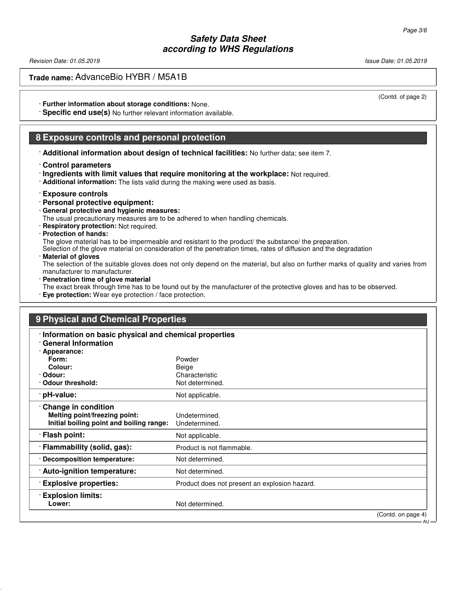Revision Date: 01.05.2019 Issue Date: 01.05.2019

**Trade name:** AdvanceBio HYBR / M5A1B

· **Further information about storage conditions:** None.

· **Specific end use(s)** No further relevant information available.

### **8 Exposure controls and personal protection**

· **Additional information about design of technical facilities:** No further data; see item 7.

#### · **Control parameters**

· **Ingredients with limit values that require monitoring at the workplace:** Not required.

· **Additional information:** The lists valid during the making were used as basis.

#### · **Exposure controls**

- · **Personal protective equipment:**
- · **General protective and hygienic measures:**

The usual precautionary measures are to be adhered to when handling chemicals.

· **Respiratory protection:** Not required.

#### · **Protection of hands:**

The glove material has to be impermeable and resistant to the product/ the substance/ the preparation.

Selection of the glove material on consideration of the penetration times, rates of diffusion and the degradation

· **Material of gloves**

The selection of the suitable gloves does not only depend on the material, but also on further marks of quality and varies from manufacturer to manufacturer.

· **Penetration time of glove material**

The exact break through time has to be found out by the manufacturer of the protective gloves and has to be observed.

· **Eye protection:** Wear eye protection / face protection.

| 9 Physical and Chemical Properties                                                               |                                               |  |
|--------------------------------------------------------------------------------------------------|-----------------------------------------------|--|
| · Information on basic physical and chemical properties<br><b>General Information</b>            |                                               |  |
| · Appearance:                                                                                    |                                               |  |
| Form:                                                                                            | Powder                                        |  |
| Colour:                                                                                          | Beige                                         |  |
| · Odour:                                                                                         | Characteristic                                |  |
| Odour threshold:                                                                                 | Not determined.                               |  |
| · pH-value:                                                                                      | Not applicable.                               |  |
| Change in condition<br>Melting point/freezing point:<br>Initial boiling point and boiling range: | Undetermined.<br>Undetermined.                |  |
| · Flash point:                                                                                   | Not applicable.                               |  |
| · Flammability (solid, gas):                                                                     | Product is not flammable.                     |  |
| · Decomposition temperature:                                                                     | Not determined.                               |  |
| · Auto-ignition temperature:                                                                     | Not determined.                               |  |
| <b>Explosive properties:</b>                                                                     | Product does not present an explosion hazard. |  |
| <b>Explosion limits:</b><br>Lower:                                                               | Not determined.                               |  |

(Contd. on page 4)

**AU** 

- 
- (Contd. of page 2)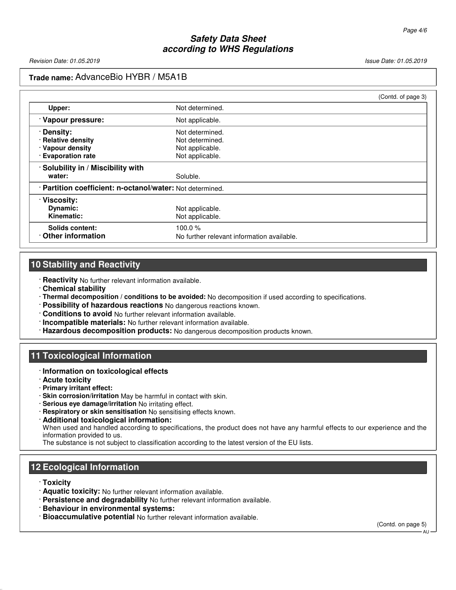## **Trade name:** AdvanceBio HYBR / M5A1B

|                                                           | (Contd. of page 3) |
|-----------------------------------------------------------|--------------------|
| Not determined.                                           |                    |
| Not applicable.                                           |                    |
| Not determined.                                           |                    |
| Not determined.                                           |                    |
| Not applicable.                                           |                    |
| Not applicable.                                           |                    |
| Solubility in / Miscibility with                          |                    |
| Soluble.                                                  |                    |
| · Partition coefficient: n-octanol/water: Not determined. |                    |
|                                                           |                    |
| Not applicable.                                           |                    |
| Not applicable.                                           |                    |
| 100.0 $%$                                                 |                    |
| No further relevant information available.                |                    |
|                                                           |                    |

### **10 Stability and Reactivity**

· **Reactivity** No further relevant information available.

- · **Chemical stability**
- · **Thermal decomposition / conditions to be avoided:** No decomposition if used according to specifications.
- · **Possibility of hazardous reactions** No dangerous reactions known.
- · **Conditions to avoid** No further relevant information available.
- · **Incompatible materials:** No further relevant information available.
- · **Hazardous decomposition products:** No dangerous decomposition products known.

### **11 Toxicological Information**

- · **Information on toxicological effects**
- · **Acute toxicity**
- · **Primary irritant effect:**
- · **Skin corrosion/irritation** May be harmful in contact with skin.
- · **Serious eye damage/irritation** No irritating effect.
- · **Respiratory or skin sensitisation** No sensitising effects known.
- · **Additional toxicological information:** When used and handled according to specifications, the product does not have any harmful effects to our experience and the information provided to us.

The substance is not subject to classification according to the latest version of the EU lists.

# **12 Ecological Information**

#### · **Toxicity**

- · **Aquatic toxicity:** No further relevant information available.
- · **Persistence and degradability** No further relevant information available.
- · **Behaviour in environmental systems:**
- · **Bioaccumulative potential** No further relevant information available.

(Contd. on page 5)

A<sub>L</sub>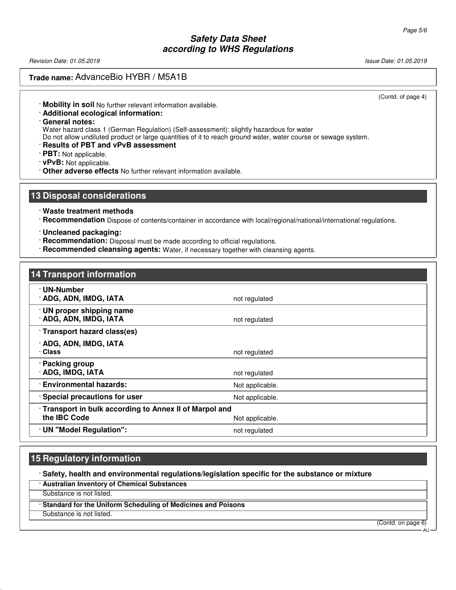Revision Date: 01.05.2019 **Issue Date: 01.05.2019** Issue Date: 01.05.2019

## **Trade name:** AdvanceBio HYBR / M5A1B

(Contd. of page 4)

· **Mobility in soil** No further relevant information available.

- · **Additional ecological information:**
- · **General notes:**

Water hazard class 1 (German Regulation) (Self-assessment): slightly hazardous for water

Do not allow undiluted product or large quantities of it to reach ground water, water course or sewage system.

· **Results of PBT and vPvB assessment**

· **PBT:** Not applicable.

- · **vPvB:** Not applicable.
- · **Other adverse effects** No further relevant information available.

### **13 Disposal considerations**

- · **Waste treatment methods**
- · **Recommendation** Dispose of contents/container in accordance with local/regional/national/international regulations.
- · **Uncleaned packaging:**
- · **Recommendation:** Disposal must be made according to official regulations.
- · **Recommended cleansing agents:** Water, if necessary together with cleansing agents.

# **14 Transport information**

| · UN-Number                                             |                 |  |
|---------------------------------------------------------|-----------------|--|
| · ADG, ADN, IMDG, IATA                                  | not regulated   |  |
| · UN proper shipping name                               |                 |  |
| · ADG, ADN, IMDG, IATA                                  | not regulated   |  |
| · Transport hazard class(es)                            |                 |  |
| · ADG, ADN, IMDG, IATA                                  |                 |  |
| · Class                                                 | not regulated   |  |
| · Packing group                                         |                 |  |
| · ADG, IMDG, IATA                                       | not regulated   |  |
| <b>Environmental hazards:</b>                           | Not applicable. |  |
| · Special precautions for user                          | Not applicable. |  |
| · Transport in bulk according to Annex II of Marpol and |                 |  |
| the IBC Code                                            | Not applicable. |  |
| · UN "Model Regulation":                                | not regulated   |  |

### **15 Regulatory information**

· **Safety, health and environmental regulations/legislation specific for the substance or mixture**

· **Australian Inventory of Chemical Substances**

Substance is not listed.

· **Standard for the Uniform Scheduling of Medicines and Poisons**

Substance is not listed.

(Contd. on page 6)

**ΔH**